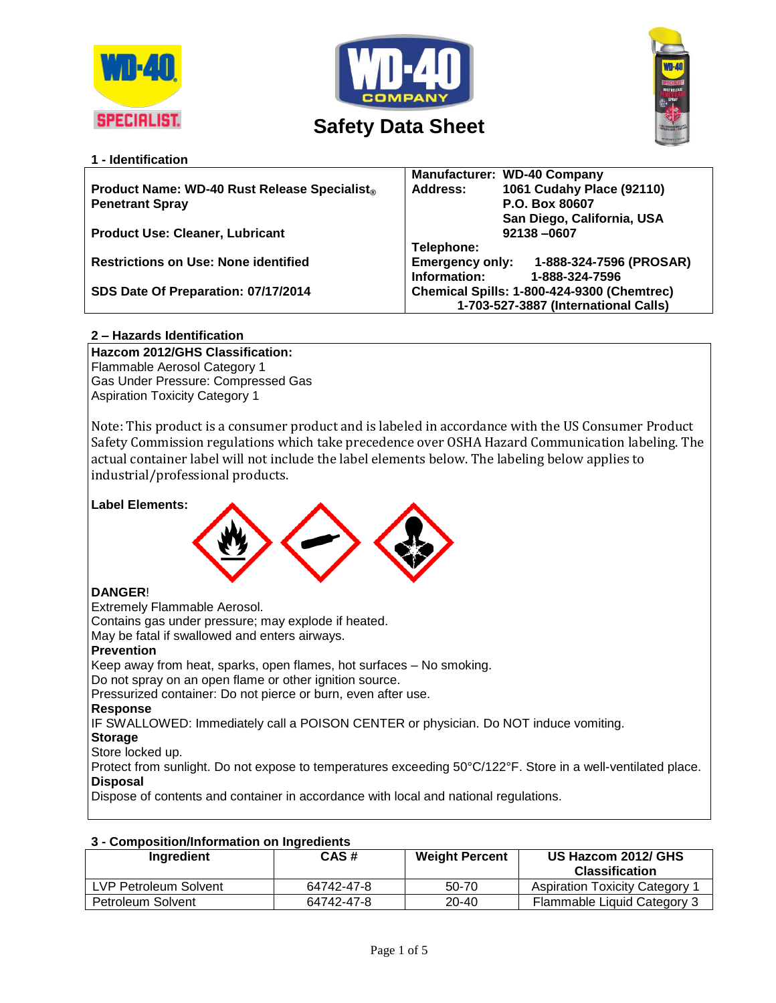





# **1 - Identification**

|                                                     | <b>Manufacturer: WD-40 Company</b>                                                 |  |
|-----------------------------------------------------|------------------------------------------------------------------------------------|--|
| <b>Product Name: WD-40 Rust Release Specialist®</b> | 1061 Cudahy Place (92110)<br>Address:                                              |  |
| <b>Penetrant Spray</b>                              | P.O. Box 80607                                                                     |  |
|                                                     | San Diego, California, USA                                                         |  |
| <b>Product Use: Cleaner, Lubricant</b>              | 92138-0607                                                                         |  |
|                                                     | Telephone:                                                                         |  |
| <b>Restrictions on Use: None identified</b>         | 1-888-324-7596 (PROSAR)<br><b>Emergency only:</b>                                  |  |
|                                                     | Information:<br>1-888-324-7596                                                     |  |
| SDS Date Of Preparation: 07/17/2014                 | Chemical Spills: 1-800-424-9300 (Chemtrec)<br>1-703-527-3887 (International Calls) |  |
|                                                     |                                                                                    |  |
|                                                     |                                                                                    |  |

# **2 – Hazards Identification**

**Hazcom 2012/GHS Classification:** Flammable Aerosol Category 1 Gas Under Pressure: Compressed Gas Aspiration Toxicity Category 1

Note: This product is a consumer product and is labeled in accordance with the US Consumer Product Safety Commission regulations which take precedence over OSHA Hazard Communication labeling. The actual container label will not include the label elements below. The labeling below applies to industrial/professional products.



Keep away from heat, sparks, open flames, hot surfaces – No smoking.

Do not spray on an open flame or other ignition source.

Pressurized container: Do not pierce or burn, even after use.

### **Response**

IF SWALLOWED: Immediately call a POISON CENTER or physician. Do NOT induce vomiting.

### **Storage**

Store locked up.

Protect from sunlight. Do not expose to temperatures exceeding 50°C/122°F. Store in a well-ventilated place. **Disposal**

Dispose of contents and container in accordance with local and national regulations.

| Ingredient            | CAS#       | <b>Weight Percent</b> | US Hazcom 2012/ GHS<br><b>Classification</b> |
|-----------------------|------------|-----------------------|----------------------------------------------|
| LVP Petroleum Solvent | 64742-47-8 | 50-70                 | <b>Aspiration Toxicity Category 1</b>        |
| Petroleum Solvent     | 64742-47-8 | 20-40                 | Flammable Liquid Category 3                  |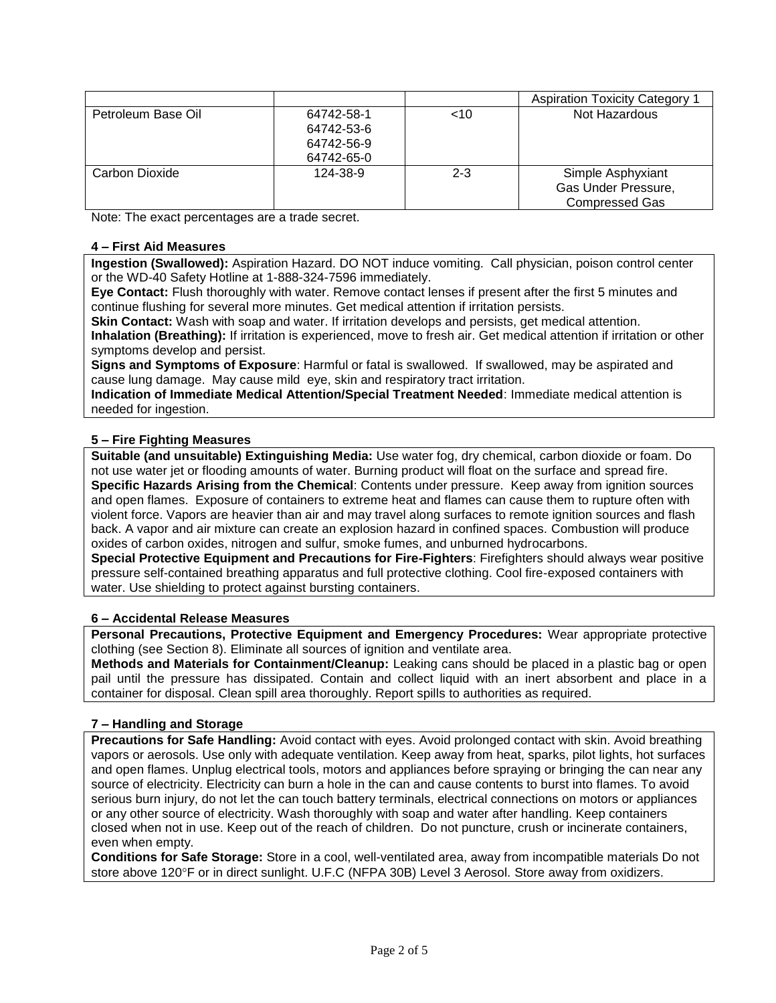|                    |                                                      |         | Aspiration Toxicity Category                                      |
|--------------------|------------------------------------------------------|---------|-------------------------------------------------------------------|
| Petroleum Base Oil | 64742-58-1<br>64742-53-6<br>64742-56-9<br>64742-65-0 | ~10     | Not Hazardous                                                     |
| Carbon Dioxide     | 124-38-9                                             | $2 - 3$ | Simple Asphyxiant<br>Gas Under Pressure,<br><b>Compressed Gas</b> |

Note: The exact percentages are a trade secret.

### **4 – First Aid Measures**

**Ingestion (Swallowed):** Aspiration Hazard. DO NOT induce vomiting. Call physician, poison control center or the WD-40 Safety Hotline at 1-888-324-7596 immediately.

**Eye Contact:** Flush thoroughly with water. Remove contact lenses if present after the first 5 minutes and continue flushing for several more minutes. Get medical attention if irritation persists.

**Skin Contact:** Wash with soap and water. If irritation develops and persists, get medical attention. **Inhalation (Breathing):** If irritation is experienced, move to fresh air. Get medical attention if irritation or other symptoms develop and persist.

**Signs and Symptoms of Exposure**: Harmful or fatal is swallowed. If swallowed, may be aspirated and cause lung damage. May cause mild eye, skin and respiratory tract irritation.

**Indication of Immediate Medical Attention/Special Treatment Needed**: Immediate medical attention is needed for ingestion.

# **5 – Fire Fighting Measures**

**Suitable (and unsuitable) Extinguishing Media:** Use water fog, dry chemical, carbon dioxide or foam. Do not use water jet or flooding amounts of water. Burning product will float on the surface and spread fire. **Specific Hazards Arising from the Chemical**: Contents under pressure. Keep away from ignition sources and open flames. Exposure of containers to extreme heat and flames can cause them to rupture often with violent force. Vapors are heavier than air and may travel along surfaces to remote ignition sources and flash back. A vapor and air mixture can create an explosion hazard in confined spaces. Combustion will produce oxides of carbon oxides, nitrogen and sulfur, smoke fumes, and unburned hydrocarbons.

**Special Protective Equipment and Precautions for Fire-Fighters**: Firefighters should always wear positive pressure self-contained breathing apparatus and full protective clothing. Cool fire-exposed containers with water. Use shielding to protect against bursting containers.

### **6 – Accidental Release Measures**

**Personal Precautions, Protective Equipment and Emergency Procedures:** Wear appropriate protective clothing (see Section 8). Eliminate all sources of ignition and ventilate area.

**Methods and Materials for Containment/Cleanup:** Leaking cans should be placed in a plastic bag or open pail until the pressure has dissipated. Contain and collect liquid with an inert absorbent and place in a container for disposal. Clean spill area thoroughly. Report spills to authorities as required.

# **7 – Handling and Storage**

**Precautions for Safe Handling:** Avoid contact with eyes. Avoid prolonged contact with skin. Avoid breathing vapors or aerosols. Use only with adequate ventilation. Keep away from heat, sparks, pilot lights, hot surfaces and open flames. Unplug electrical tools, motors and appliances before spraying or bringing the can near any source of electricity. Electricity can burn a hole in the can and cause contents to burst into flames. To avoid serious burn injury, do not let the can touch battery terminals, electrical connections on motors or appliances or any other source of electricity. Wash thoroughly with soap and water after handling. Keep containers closed when not in use. Keep out of the reach of children. Do not puncture, crush or incinerate containers, even when empty.

**Conditions for Safe Storage:** Store in a cool, well-ventilated area, away from incompatible materials Do not store above 120°F or in direct sunlight. U.F.C (NFPA 30B) Level 3 Aerosol. Store away from oxidizers.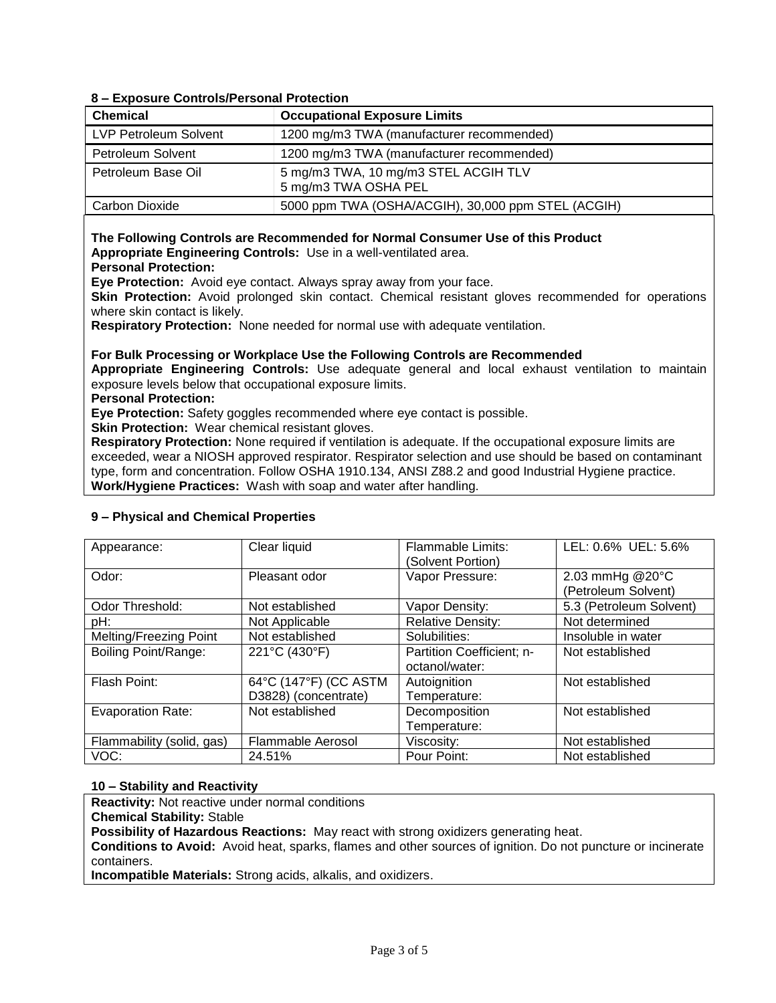# **8 – Exposure Controls/Personal Protection**

| <b>Chemical</b>              | <b>Occupational Exposure Limits</b>                          |
|------------------------------|--------------------------------------------------------------|
| <b>LVP Petroleum Solvent</b> | 1200 mg/m3 TWA (manufacturer recommended)                    |
| Petroleum Solvent            | 1200 mg/m3 TWA (manufacturer recommended)                    |
| Petroleum Base Oil           | 5 mg/m3 TWA, 10 mg/m3 STEL ACGIH TLV<br>5 mg/m3 TWA OSHA PEL |
| Carbon Dioxide               | 5000 ppm TWA (OSHA/ACGIH), 30,000 ppm STEL (ACGIH)           |

#### **The Following Controls are Recommended for Normal Consumer Use of this Product Appropriate Engineering Controls:** Use in a well-ventilated area. **Personal Protection:**

**Eye Protection:** Avoid eye contact. Always spray away from your face.

**Skin Protection:** Avoid prolonged skin contact. Chemical resistant gloves recommended for operations where skin contact is likely.

**Respiratory Protection:** None needed for normal use with adequate ventilation.

**For Bulk Processing or Workplace Use the Following Controls are Recommended**

**Appropriate Engineering Controls:** Use adequate general and local exhaust ventilation to maintain exposure levels below that occupational exposure limits.

#### **Personal Protection:**

**Eye Protection:** Safety goggles recommended where eye contact is possible.

**Skin Protection:** Wear chemical resistant gloves.

**Respiratory Protection:** None required if ventilation is adequate. If the occupational exposure limits are exceeded, wear a NIOSH approved respirator. Respirator selection and use should be based on contaminant type, form and concentration. Follow OSHA 1910.134, ANSI Z88.2 and good Industrial Hygiene practice. **Work/Hygiene Practices:** Wash with soap and water after handling.

| Appearance:               | Clear liquid             | Flammable Limits:         | LEL: 0.6% UEL: 5.6%     |
|---------------------------|--------------------------|---------------------------|-------------------------|
|                           |                          | (Solvent Portion)         |                         |
|                           |                          |                           |                         |
| Odor:                     | Pleasant odor            | Vapor Pressure:           | 2.03 mmHg @20°C         |
|                           |                          |                           | (Petroleum Solvent)     |
| Odor Threshold:           | Not established          | Vapor Density:            | 5.3 (Petroleum Solvent) |
| pH:                       | Not Applicable           | <b>Relative Density:</b>  | Not determined          |
| Melting/Freezing Point    | Not established          | Solubilities:             | Insoluble in water      |
| Boiling Point/Range:      | 221°C (430°F)            | Partition Coefficient; n- | Not established         |
|                           |                          | octanol/water:            |                         |
| Flash Point:              | 64°C (147°F) (CC ASTM    | Autoignition              | Not established         |
|                           | D3828) (concentrate)     | Temperature:              |                         |
| <b>Evaporation Rate:</b>  | Not established          | Decomposition             | Not established         |
|                           |                          | Temperature:              |                         |
| Flammability (solid, gas) | <b>Flammable Aerosol</b> | Viscosity:                | Not established         |
| VOC:                      | 24.51%                   | Pour Point:               | Not established         |

### **9 – Physical and Chemical Properties**

### **10 – Stability and Reactivity**

**Reactivity:** Not reactive under normal conditions

**Chemical Stability:** Stable

**Possibility of Hazardous Reactions:** May react with strong oxidizers generating heat.

**Conditions to Avoid:** Avoid heat, sparks, flames and other sources of ignition. Do not puncture or incinerate containers.

**Incompatible Materials:** Strong acids, alkalis, and oxidizers.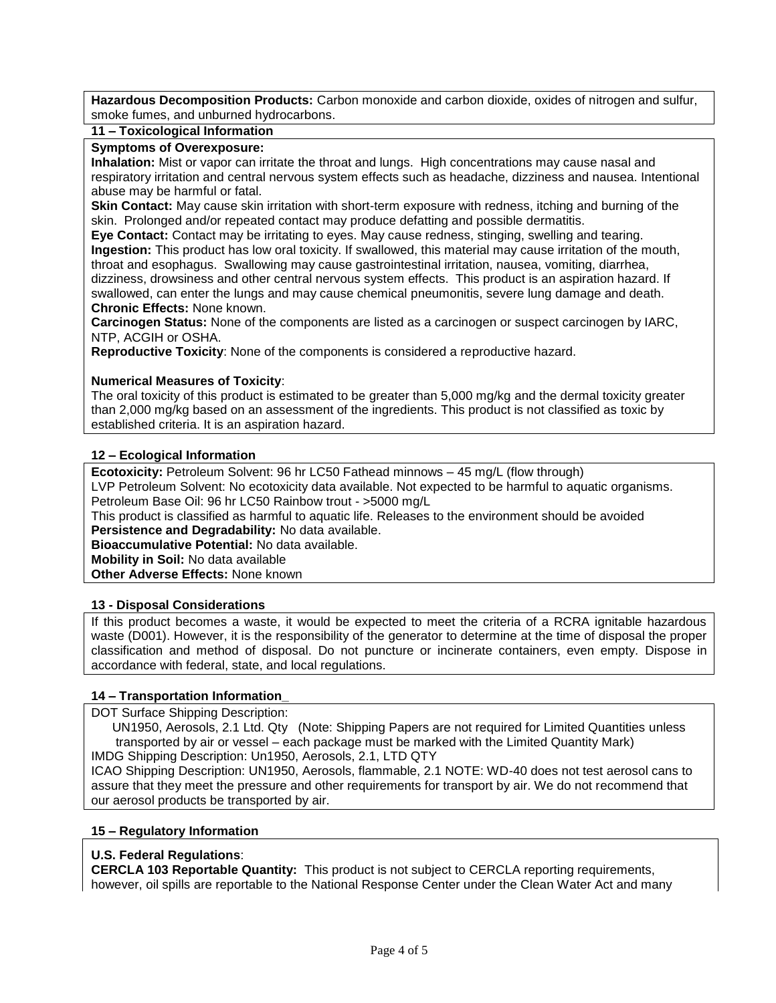**Hazardous Decomposition Products:** Carbon monoxide and carbon dioxide, oxides of nitrogen and sulfur, smoke fumes, and unburned hydrocarbons.

### **11 – Toxicological Information**

### **Symptoms of Overexposure:**

**Inhalation:** Mist or vapor can irritate the throat and lungs. High concentrations may cause nasal and respiratory irritation and central nervous system effects such as headache, dizziness and nausea. Intentional abuse may be harmful or fatal.

**Skin Contact:** May cause skin irritation with short-term exposure with redness, itching and burning of the skin. Prolonged and/or repeated contact may produce defatting and possible dermatitis.

**Eye Contact:** Contact may be irritating to eyes. May cause redness, stinging, swelling and tearing. **Ingestion:** This product has low oral toxicity. If swallowed, this material may cause irritation of the mouth, throat and esophagus. Swallowing may cause gastrointestinal irritation, nausea, vomiting, diarrhea, dizziness, drowsiness and other central nervous system effects. This product is an aspiration hazard. If swallowed, can enter the lungs and may cause chemical pneumonitis, severe lung damage and death. **Chronic Effects:** None known.

**Carcinogen Status:** None of the components are listed as a carcinogen or suspect carcinogen by IARC, NTP, ACGIH or OSHA.

**Reproductive Toxicity**: None of the components is considered a reproductive hazard.

# **Numerical Measures of Toxicity**:

The oral toxicity of this product is estimated to be greater than 5,000 mg/kg and the dermal toxicity greater than 2,000 mg/kg based on an assessment of the ingredients. This product is not classified as toxic by established criteria. It is an aspiration hazard.

# **12 – Ecological Information**

**Ecotoxicity:** Petroleum Solvent: 96 hr LC50 Fathead minnows – 45 mg/L (flow through) LVP Petroleum Solvent: No ecotoxicity data available. Not expected to be harmful to aquatic organisms. Petroleum Base Oil: 96 hr LC50 Rainbow trout - >5000 mg/L

This product is classified as harmful to aquatic life. Releases to the environment should be avoided **Persistence and Degradability:** No data available.

**Bioaccumulative Potential:** No data available.

**Mobility in Soil:** No data available

**Other Adverse Effects:** None known

### **13 - Disposal Considerations**

If this product becomes a waste, it would be expected to meet the criteria of a RCRA ignitable hazardous waste (D001). However, it is the responsibility of the generator to determine at the time of disposal the proper classification and method of disposal. Do not puncture or incinerate containers, even empty. Dispose in accordance with federal, state, and local regulations.

### **14 – Transportation Information\_**

DOT Surface Shipping Description:

 UN1950, Aerosols, 2.1 Ltd. Qty (Note: Shipping Papers are not required for Limited Quantities unless transported by air or vessel – each package must be marked with the Limited Quantity Mark) IMDG Shipping Description: Un1950, Aerosols, 2.1, LTD QTY

ICAO Shipping Description: UN1950, Aerosols, flammable, 2.1 NOTE: WD-40 does not test aerosol cans to assure that they meet the pressure and other requirements for transport by air. We do not recommend that our aerosol products be transported by air.

### **15 – Regulatory Information**

### **U.S. Federal Regulations**:

**CERCLA 103 Reportable Quantity:** This product is not subject to CERCLA reporting requirements, however, oil spills are reportable to the National Response Center under the Clean Water Act and many